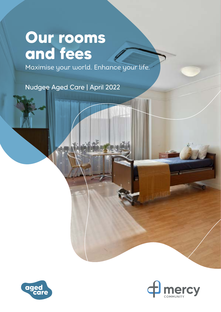# **Our rooms and fees**

Maximise your world. Enhance your life.

Nudgee Aged Care | April 2022



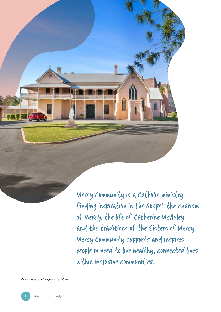Mercy Community is a Catholic ministry finding inspiration in the Gospel, the charism of Mercy, the life of Catherine McAuley and the traditions of the Sisters of Mercy. Mercy Community supports and inspires people in need to live healthy, connected lives within inclusive communities.

*Cover image: Nudgee Aged Care*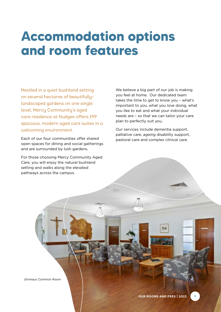## **Accommodation options and room features**

Nestled in a quiet bushland setting on several hectares of beautifullylandscaped gardens on one single level, Mercy Community's aged care residence at Nudgee offers 199 spacious, modern aged care suites in a welcoming environment.

Each of our four communities offer shared open spaces for dining and social gatherings and are surrounded by lush gardens.

For those choosing Mercy Community Aged Care, you will enjoy the natural bushland setting and walks along the elevated pathways across the campus.

We believe a big part of our job is making you feel at home. Our dedicated team takes the time to get to know you – what's important to you, what you love doing, what you like to eat and what your individual needs are – so that we can tailor your care plan to perfectly suit you.

Our services include dementia support, palliative care, ageing disability support, pastoral care and complex clinical care.

*Emmaus Common Room*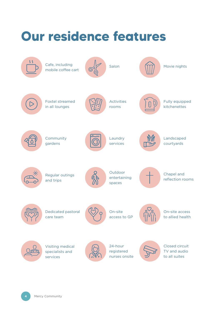#### **Our residence features** Cafe, including Salon **MOVIE Novie nights** mobile coffee cart Activities Foxtel streamed Fully equipped  $\triangleright$  $\Theta$ in all lounges rooms kitchenettes **Community** Laundry Landscaped gardens services courtyards **Outdoor** Chapel and Regular outings 外 entertaining reflection rooms and trips spaces Dedicated pastoral On-site On-site access care team access to GP to allied health 24-hour Closed circuit Visiting medical registered TV and audio specialists and services nurses onsite to all suites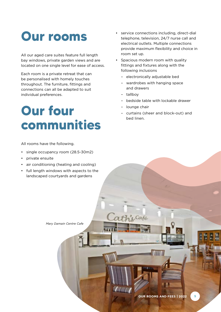## **Our rooms**

All our aged care suites feature full length bay windows, private garden views and are located on one single level for ease of access.

Each room is a private retreat that can be personalised with homely touches throughout. The furniture, fittings and connections can all be adapted to suit individual preferences.

# **Our four communities**

All rooms have the following.

- single occupancy room (28.5-30m2)
- private ensuite
- air conditioning (heating and cooling)
- full length windows with aspects to the landscaped courtyards and gardens

*Mary Damain Centre Cafe*

- service connections including, direct-dial telephone, television, 24/7 nurse call and electrical outlets. Multiple connections provide maximum flexibility and choice in room set up.
- Spacious modern room with quality fittings and fixtures along with the following inclusions
	- electronically adjustable bed
	- wardrobes with hanging space and drawers
	- tallboy
	- bedside table with lockable drawer
	- lounge chair
	- curtains (sheer and block-out) and bed linen.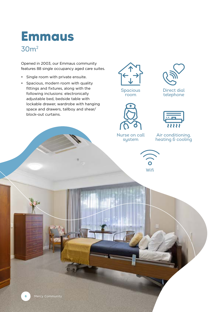### **Emmaus** 30m2

Opened in 2003, our Emmaus community features 88 single occupancy aged care suites.

- Single room with private ensuite.
- Spacious, modern room with quality fittings and fixtures, along with the following inclusions: electronically adjustable bed, bedside table with lockable drawer, wardrobe with hanging space and drawers, tallboy and shear/ block-out curtains.











Air conditioning, heating & cooling

Nurse on call system

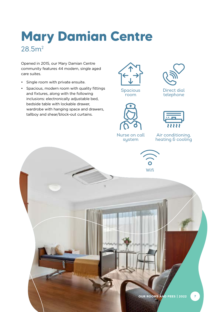## **Mary Damian Centre** 28.5m2

Opened in 2015, our Mary Damian Centre community features 44 modern, single aged care suites.

- Single room with private ensuite.
- Spacious, modern room with quality fittings and fixtures, along with the following inclusions: electronically adjustable bed, bedside table with lockable drawer, wardrobe with hanging space and drawers, tallboy and shear/block-out curtains.



Spacious room





Direct dial telephone



Air conditioning, heating & cooling

Nurse on call system





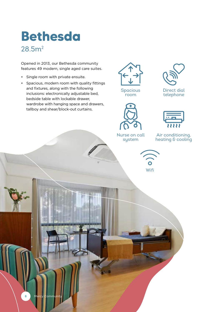### **Bethesda** 28.5m2

Opened in 2013, our Bethesda community features 49 modern, single aged care suites.

- Single room with private ensuite.
- Spacious, modern room with quality fittings and fixtures, along with the following inclusions: electronically adjustable bed, bedside table with lockable drawer, wardrobe with hanging space and drawers, tallboy and shear/block-out curtains.







Direct dial telephone











**8** Mercy Commun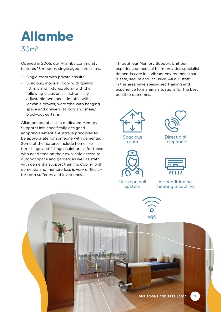## **Allambe** 30m2

Opened in 2005, our Allambe community features 18 modern, single aged care suites.

- Single room with private ensuite.
- Spacious, modern room with quality fittings and fixtures, along with the following inclusions: electronically adjustable bed, bedside table with lockable drawer, wardrobe with hanging space and drawers, tallboy and shear/ block-out curtains.

Allambe operates as a dedicated Memory Support Unit, specifically designed adopting Dementia Australia principles to be appropriate for someone with dementia. Some of the features include home like furnishings and fittings; quiet areas for those who need time on their own; safe access to outdoor space and garden; as well as staff with dementia support training. Coping with dementia and memory loss is very difficult – for both sufferers and loved ones.

Through our Memory Support Unit our experienced medical team provides specialist dementia care in a vibrant environment that is safe, secure and inclusive. All our staff in this area have specialised training and experience to manage situations for the best possible outcomes.







Nurse on call system



Direct dial telephone



Air conditioning, heating & cooling



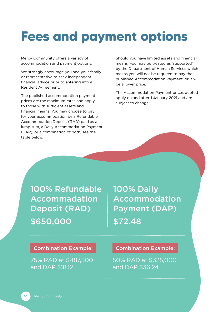# **Fees and payment options**

Mercy Community offers a variety of accommodation and payment options.

We strongly encourage you and your family or representative to seek independent financial advice prior to entering into a Resident Agreement.

The published accommodation payment prices are the maximum rates and apply to those with sufficient assets and financial means. You may choose to pay for your accommodation by a Refundable Accommodation Deposit (RAD) paid as a lump sum, a Daily Accommodation Payment (DAP), or a combination of both, see the table below.

Should you have limited assets and financial means, you may be treated as 'supported' by the Department of Human Services which means you will not be required to pay the published Accommodation Payment, or it will be a lower price.

The Accommodation Payment prices quoted apply on and after 1 January 2021 and are subject to change.

100% Refundable Accommadation Deposit (RAD) \$650,000

100% Daily Accommodation Payment (DAP) \$72.48

#### Combination Example:

75% RAD at \$487,500 and DAP \$18.12

Combination Example:

50% RAD at \$325,000 and DAP \$36.24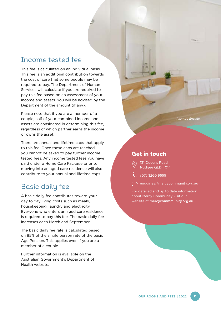#### Income tested fee

This fee is calculated on an individual basis. This fee is an additional contribution towards the cost of care that some people may be required to pay. The Department of Human Services will calculate if you are required to pay this fee based on an assessment of your income and assets. You will be advised by the Department of the amount (if any).

Please note that if you are a member of a couple, half of your combined income and assets are considered in determining this fee, regardless of which partner earns the income or owns the asset.

There are annual and lifetime caps that apply to this fee. Once these caps are reached, you cannot be asked to pay further income tested fees. Any income tested fees you have paid under a Home Care Package prior to moving into an aged care residence will also contribute to your annual and lifetime caps.

### Basic daily fee

A basic daily fee contributes toward your day to day living costs such as meals, housekeeping, laundry and electricity. Everyone who enters an aged care residence is required to pay this fee. The basic daily fee increases each March and September.

The basic daily fee rate is calculated based on 85% of the single person rate of the basic Age Pension. This applies even if you are a member of a couple.

Further information is available on the Australian Government's Department of Health website.

*Allambe Ensuite*

#### **Get in touch**

- 131 Queens Road Nudgee QLD 4014
- (07) 3260 9555
- enquiries@mercycommunity.org.au

For detailed and up to date information about Mercy Community visit our website at mercycommmunity.org.au